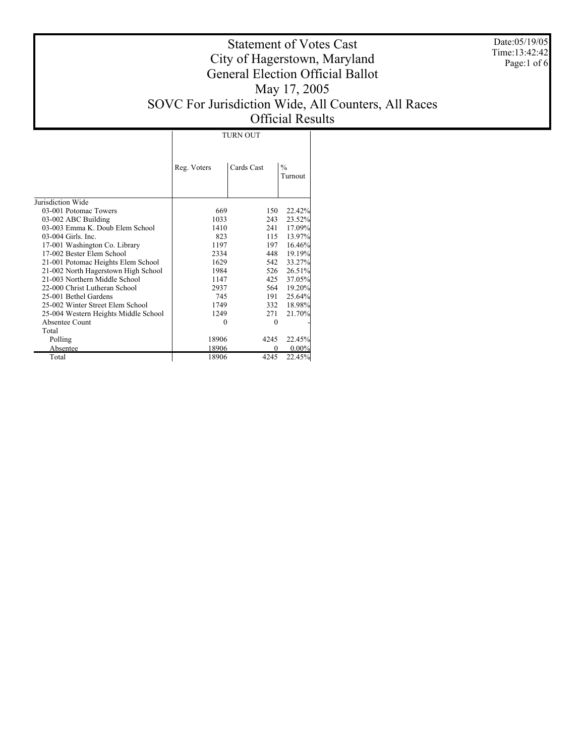Date:05/19/05 Time:13:42:42 Page:1 of 6

## Statement of Votes Cast City of Hagerstown, Maryland General Election Official Ballot May 17, 2005 SOVC For Jurisdiction Wide, All Counters, All Races Official Results

TURN OUT

|                                      | Reg. Voters | Cards Cast | $\frac{0}{0}$<br>Turnout |
|--------------------------------------|-------------|------------|--------------------------|
| Jurisdiction Wide                    |             |            |                          |
| 03-001 Potomac Towers                | 669         | 150        | 22.42%                   |
| 03-002 ABC Building                  | 1033        | 243        | 23.52%                   |
| 03-003 Emma K. Doub Elem School      | 1410        | 241        | 17.09%                   |
| 03-004 Girls. Inc.                   | 823         | 115        | 13.97%                   |
| 17-001 Washington Co. Library        | 1197        | 197        | 16.46%                   |
| 17-002 Bester Elem School            | 2334        | 448        | 19.19%                   |
| 21-001 Potomac Heights Elem School   | 1629        | 542        | 33.27%                   |
| 21-002 North Hagerstown High School  | 1984        | 526        | 26.51%                   |
| 21-003 Northern Middle School        | 1147        | 425        | 37.05%                   |
| 22-000 Christ Lutheran School        | 2937        | 564        | 19.20%                   |
| 25-001 Bethel Gardens                | 745         | 191        | 25.64%                   |
| 25-002 Winter Street Elem School     | 1749        | 332        | 18.98%                   |
| 25-004 Western Heights Middle School | 1249        | 271        | 21.70%                   |
| Absentee Count                       | 0           | 0          |                          |
| Total                                |             |            |                          |
| Polling                              | 18906       | 4245       | 22.45%                   |
| Absentee                             | 18906       | 0          | $0.00\%$                 |
| Total                                | 18906       | 4245       | 22.45%                   |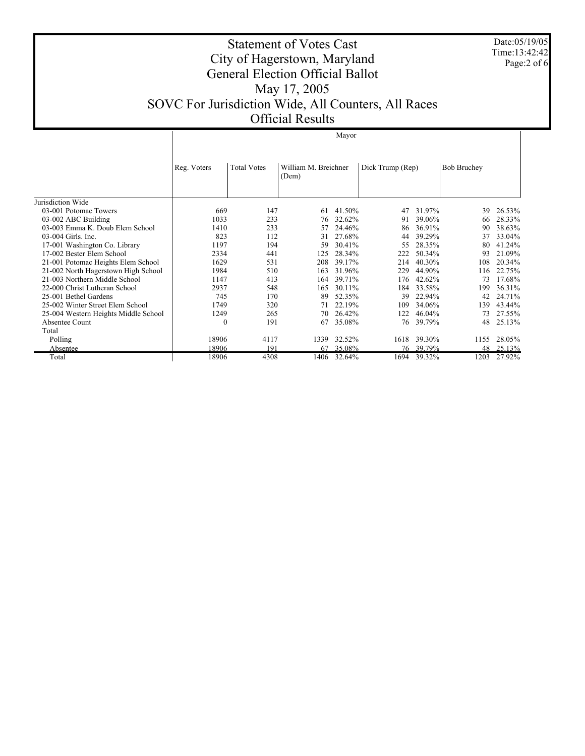Date:05/19/05 Time:13:42:42 Page:2 of 6

## Statement of Votes Cast City of Hagerstown, Maryland General Election Official Ballot May 17, 2005 SOVC For Jurisdiction Wide, All Counters, All Races Official Results

|                                      | Mayor       |                    |                               |        |                  |        |                    |        |
|--------------------------------------|-------------|--------------------|-------------------------------|--------|------------------|--------|--------------------|--------|
|                                      | Reg. Voters | <b>Total Votes</b> | William M. Breichner<br>(Dem) |        | Dick Trump (Rep) |        | <b>Bob Bruchey</b> |        |
| Jurisdiction Wide                    |             |                    |                               |        |                  |        |                    |        |
| 03-001 Potomac Towers                | 669         | 147                | 61                            | 41.50% | 47               | 31.97% | 39                 | 26.53% |
| 03-002 ABC Building                  | 1033        | 233                | 76                            | 32.62% | 91               | 39.06% | 66                 | 28.33% |
| 03-003 Emma K. Doub Elem School      | 1410        | 233                | 57                            | 24.46% | 86               | 36.91% | 90                 | 38.63% |
| 03-004 Girls. Inc.                   | 823         | 112                | 31                            | 27.68% | 44               | 39.29% | 37                 | 33.04% |
| 17-001 Washington Co. Library        | 1197        | 194                | 59                            | 30.41% | 55               | 28.35% | 80                 | 41.24% |
| 17-002 Bester Elem School            | 2334        | 441                | 125                           | 28.34% | 222              | 50.34% | 93                 | 21.09% |
| 21-001 Potomac Heights Elem School   | 1629        | 531                | 208                           | 39.17% | 214              | 40.30% | 108                | 20.34% |
| 21-002 North Hagerstown High School  | 1984        | 510                | 163                           | 31.96% | 229              | 44.90% | 116                | 22.75% |
| 21-003 Northern Middle School        | 1147        | 413                | 164                           | 39.71% | 176              | 42.62% | 73                 | 17.68% |
| 22-000 Christ Lutheran School        | 2937        | 548                | 165                           | 30.11% | 184              | 33.58% | 199                | 36.31% |
| 25-001 Bethel Gardens                | 745         | 170                | 89                            | 52.35% | 39               | 22.94% | 42                 | 24.71% |
| 25-002 Winter Street Elem School     | 1749        | 320                | 71                            | 22.19% | 109              | 34.06% | 139                | 43.44% |
| 25-004 Western Heights Middle School | 1249        | 265                | 70                            | 26.42% | 122              | 46.04% | 73                 | 27.55% |
| Absentee Count                       | $\theta$    | 191                | 67                            | 35.08% | 76               | 39.79% | 48                 | 25.13% |
| Total                                |             |                    |                               |        |                  |        |                    |        |
| Polling                              | 18906       | 4117               | 1339                          | 32.52% | 1618             | 39.30% | 1155               | 28.05% |
| Absentee                             | 18906       | 191                | 67                            | 35.08% | 76               | 39.79% | 48                 | 25.13% |
| Total                                | 18906       | 4308               | 1406                          | 32.64% | 1694             | 39.32% | 1203               | 27.92% |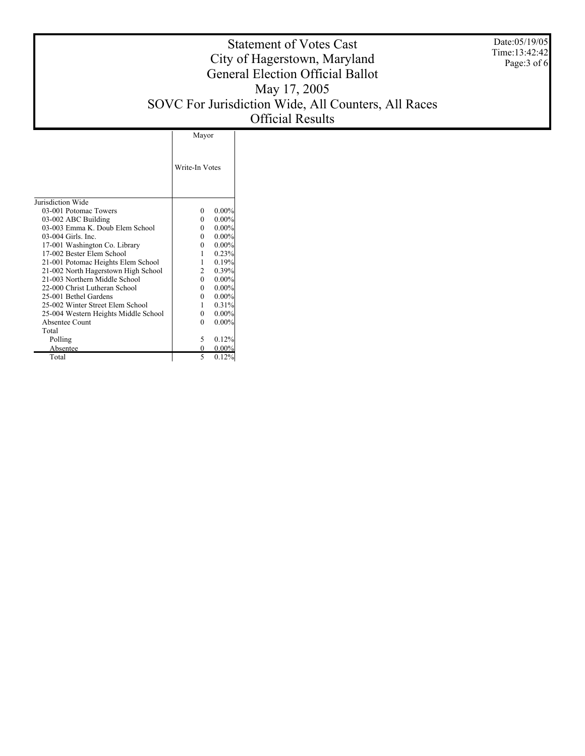Date:05/19/05 Time:13:42:42 Page:3 of 6

## Statement of Votes Cast City of Hagerstown, Maryland General Election Official Ballot May 17, 2005 SOVC For Jurisdiction Wide, All Counters, All Races Official Results

|                                      | Mayor          |          |  |
|--------------------------------------|----------------|----------|--|
|                                      | Write-In Votes |          |  |
| Jurisdiction Wide                    |                |          |  |
| 03-001 Potomac Towers                | 0              | $0.00\%$ |  |
| 03-002 ABC Building                  | 0              | $0.00\%$ |  |
| 03-003 Emma K. Doub Elem School      | 0              | $0.00\%$ |  |
| 03-004 Girls. Inc.                   | 0              | $0.00\%$ |  |
| 17-001 Washington Co. Library        | 0              | $0.00\%$ |  |
| 17-002 Bester Elem School            |                | 0.23%    |  |
| 21-001 Potomac Heights Elem School   | 1              | 0.19%    |  |
| 21-002 North Hagerstown High School  | $\mathbf{2}$   | 0.39%    |  |
| 21-003 Northern Middle School        | 0              | $0.00\%$ |  |
| 22-000 Christ Lutheran School        | 0              | $0.00\%$ |  |
| 25-001 Bethel Gardens                | 0              | $0.00\%$ |  |
| 25-002 Winter Street Elem School     | 1              | 0.31%    |  |
| 25-004 Western Heights Middle School | 0              | $0.00\%$ |  |
| Absentee Count                       | 0              | $0.00\%$ |  |
| Total                                |                |          |  |
| Polling                              | 5              | 0.12%    |  |
| Absentee                             | 0              | 0.00%    |  |
| Total                                | 5              | 0.12%    |  |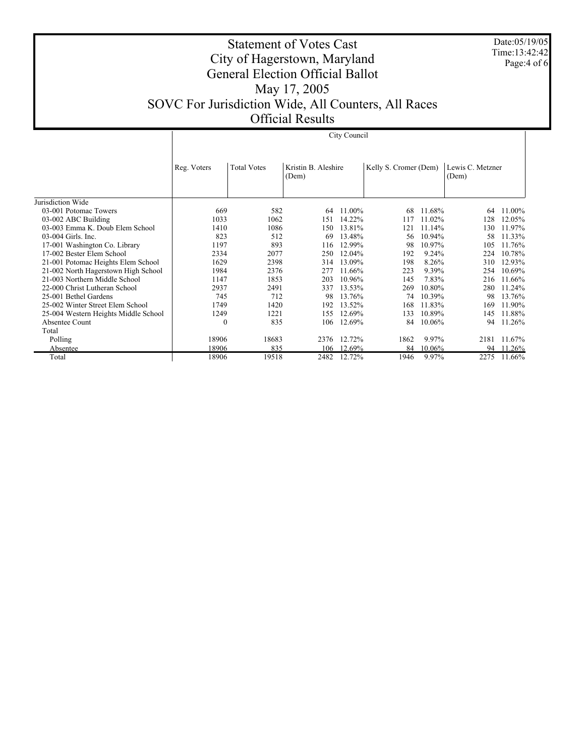Date:05/19/05 Time:13:42:42 Page:4 of 6

## Statement of Votes Cast City of Hagerstown, Maryland General Election Official Ballot May 17, 2005 SOVC For Jurisdiction Wide, All Counters, All Races Official Results

|                                      | City Council |                    |                              |        |                       |        |                           |        |
|--------------------------------------|--------------|--------------------|------------------------------|--------|-----------------------|--------|---------------------------|--------|
|                                      | Reg. Voters  | <b>Total Votes</b> | Kristin B. Aleshire<br>(Dem) |        | Kelly S. Cromer (Dem) |        | Lewis C. Metzner<br>(Dem) |        |
| Jurisdiction Wide                    |              |                    |                              |        |                       |        |                           |        |
| 03-001 Potomac Towers                | 669          | 582                | 64                           | 11.00% | 68                    | 11.68% | 64                        | 11.00% |
| 03-002 ABC Building                  | 1033         | 1062               | 151                          | 14.22% | 117                   | 11.02% | 128                       | 12.05% |
| 03-003 Emma K. Doub Elem School      | 1410         | 1086               | 150                          | 13.81% | 121                   | 11.14% | 130                       | 11.97% |
| 03-004 Girls. Inc.                   | 823          | 512                | 69                           | 13.48% | 56                    | 10.94% | 58                        | 11.33% |
| 17-001 Washington Co. Library        | 1197         | 893                | 116                          | 12.99% | 98                    | 10.97% | 105                       | 11.76% |
| 17-002 Bester Elem School            | 2334         | 2077               | 250                          | 12.04% | 192                   | 9.24%  | 224                       | 10.78% |
| 21-001 Potomac Heights Elem School   | 1629         | 2398               | 314                          | 13.09% | 198                   | 8.26%  | 310                       | 12.93% |
| 21-002 North Hagerstown High School  | 1984         | 2376               | 277                          | 11.66% | 223                   | 9.39%  | 254                       | 10.69% |
| 21-003 Northern Middle School        | 1147         | 1853               | 203                          | 10.96% | 145                   | 7.83%  | 216                       | 11.66% |
| 22-000 Christ Lutheran School        | 2937         | 2491               | 337                          | 13.53% | 269                   | 10.80% | 280                       | 11.24% |
| 25-001 Bethel Gardens                | 745          | 712                | 98                           | 13.76% | 74                    | 10.39% | 98                        | 13.76% |
| 25-002 Winter Street Elem School     | 1749         | 1420               | 192                          | 13.52% | 168                   | 11.83% | 169                       | 11.90% |
| 25-004 Western Heights Middle School | 1249         | 1221               | 155                          | 12.69% | 133                   | 10.89% | 145                       | 11.88% |
| Absentee Count                       | $\bf{0}$     | 835                | 106                          | 12.69% | 84                    | 10.06% | 94                        | 11.26% |
| Total                                |              |                    |                              |        |                       |        |                           |        |
| Polling                              | 18906        | 18683              | 2376                         | 12.72% | 1862                  | 9.97%  | 2181                      | 11.67% |
| Absentee                             | 18906        | 835                | 106                          | 12.69% | 84                    | 10.06% | 94                        | 11.26% |
| Total                                | 18906        | 19518              | 2482                         | 12.72% | 1946                  | 9.97%  | 2275                      | 11.66% |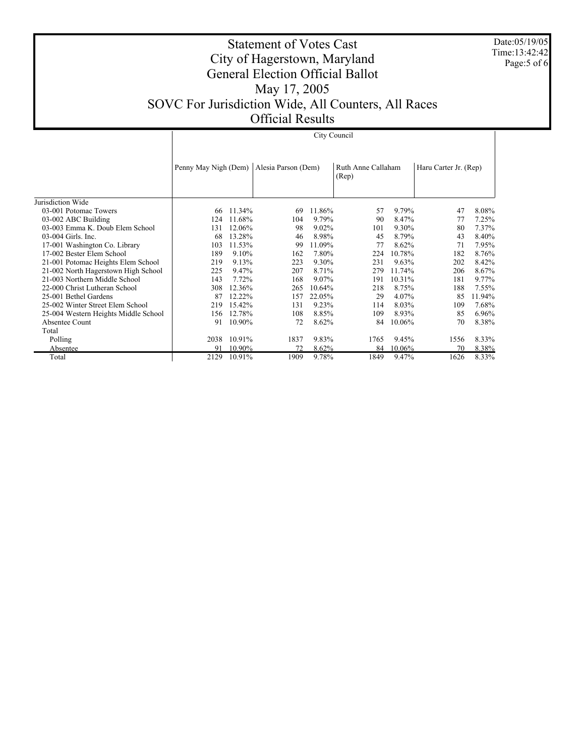Date:05/19/05 Time:13:42:42 Page:5 of 6

## Statement of Votes Cast City of Hagerstown, Maryland General Election Official Ballot May 17, 2005 SOVC For Jurisdiction Wide, All Counters, All Races Official Results

City Council

|                                      | Penny May Nigh (Dem) |        | Alesia Parson (Dem) |        | Ruth Anne Callaham<br>(Rep) |        | Haru Carter Jr. (Rep) |        |
|--------------------------------------|----------------------|--------|---------------------|--------|-----------------------------|--------|-----------------------|--------|
|                                      |                      |        |                     |        |                             |        |                       |        |
| Jurisdiction Wide                    |                      |        |                     |        |                             |        |                       |        |
| 03-001 Potomac Towers                | 66                   | 11.34% | 69                  | 11.86% | 57                          | 9.79%  | 47                    | 8.08%  |
| 03-002 ABC Building                  | 124                  | 11.68% | 104                 | 9.79%  | 90                          | 8.47%  | 77                    | 7.25%  |
| 03-003 Emma K. Doub Elem School      | 131                  | 12.06% | 98                  | 9.02%  | 101                         | 9.30%  | 80                    | 7.37%  |
| 03-004 Girls. Inc.                   | 68                   | 13.28% | 46                  | 8.98%  | 45                          | 8.79%  | 43                    | 8.40%  |
| 17-001 Washington Co. Library        | 103                  | 11.53% | 99                  | 11.09% | 77                          | 8.62%  | 71                    | 7.95%  |
| 17-002 Bester Elem School            | 189                  | 9.10%  | 162                 | 7.80%  | 224                         | 10.78% | 182                   | 8.76%  |
| 21-001 Potomac Heights Elem School   | 219                  | 9.13%  | 223                 | 9.30%  | 231                         | 9.63%  | 202                   | 8.42%  |
| 21-002 North Hagerstown High School  | 225                  | 9.47%  | 207                 | 8.71%  | 279                         | 11.74% | 206                   | 8.67%  |
| 21-003 Northern Middle School        | 143                  | 7.72%  | 168                 | 9.07%  | 191                         | 10.31% | 181                   | 9.77%  |
| 22-000 Christ Lutheran School        | 308                  | 12.36% | 265                 | 10.64% | 218                         | 8.75%  | 188                   | 7.55%  |
| 25-001 Bethel Gardens                | 87                   | 12.22% | 157                 | 22.05% | 29                          | 4.07%  | 85                    | 11.94% |
| 25-002 Winter Street Elem School     | 219                  | 15.42% | 131                 | 9.23%  | 114                         | 8.03%  | 109                   | 7.68%  |
| 25-004 Western Heights Middle School | 156                  | 12.78% | 108                 | 8.85%  | 109                         | 8.93%  | 85                    | 6.96%  |
| Absentee Count                       | 91                   | 10.90% | 72                  | 8.62%  | 84                          | 10.06% | 70                    | 8.38%  |
| Total                                |                      |        |                     |        |                             |        |                       |        |
| Polling                              | 2038                 | 10.91% | 1837                | 9.83%  | 1765                        | 9.45%  | 1556                  | 8.33%  |
| Absentee                             | 91                   | 10.90% | 72                  | 8.62%  | 84                          | 10.06% | 70                    | 8.38%  |
| Total                                | 2129                 | 10.91% | 1909                | 9.78%  | 1849                        | 9.47%  | 1626                  | 8.33%  |